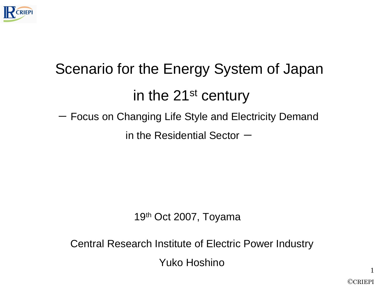

# Scenario for the Energy System of Japanin the 21<sup>st</sup> century - Focus on Changing Life Style and Electricity Demand in the Residential Sector  $-$

#### 19<sup>th</sup> Oct 2007, Toyama

Central Research Institute of Electric Power Industry

Yuko Hoshino

©CRIEPI

1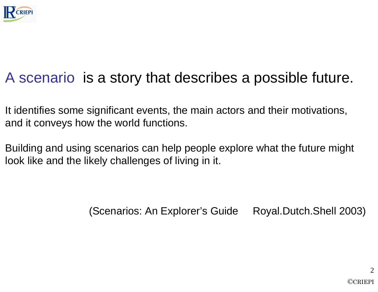

# A scenario is a story that describes a possible future.

It identifies some significant events, the main actors and their motivations, and it conveys how the world functions.

Building and using scenarios can help people explore what the future mightlook like and the likely challenges of living in it.

(Scenarios: An Explorer's Guide Royal.Dutch.Shell 2003)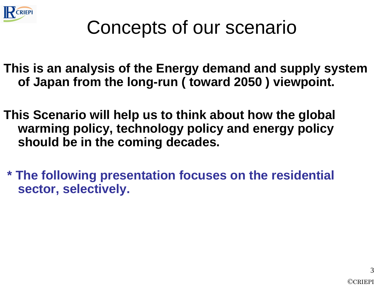

# Concepts of our scenario

**This is an analysis of the Energy demand and supply system of Japan from the long-run ( toward 2050 ) viewpoint.** 

- **This Scenario will help us to think about how the global warming policy, technology policy and energy policyshould be in the coming decades.**
- **\* The following presentation focuses on the residential sector, selectively.**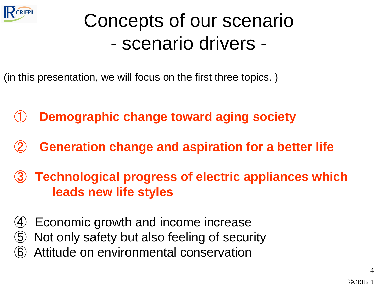

# Concepts of our scenarioscenario drivers -

(in this presentation, we will focus on the first three topics. )

- $\bigcirc$ **Demographic change toward aging society**
- ②**Generation change and aspiration for a better life**
- ③ **Technological progress of electric appliances which leads new life styles**
- $\left( 4\right)$ Economic growth and income increase
- ⑤Not only safety but also feeling of security
- ⑥Attitude on environmental conservation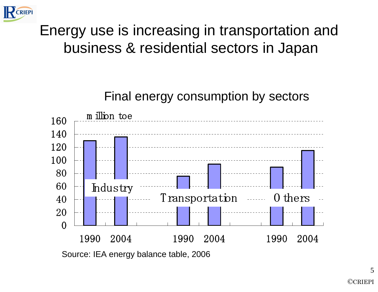

### Energy use is increasing in transportation andbusiness & residential sectors in Japan

Final energy consumption by sectors

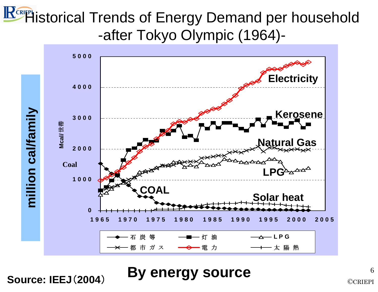# **KERIFPI** istorical Trends of Energy Demand per household -after Tokyo Olympic (1964)-



**By energy sourceSource: IEEJ**(**2004**)

6©CRIEPI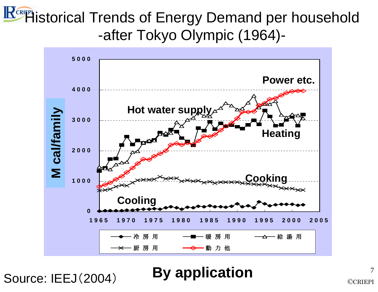# **KERIFPI** istorical Trends of Energy Demand per household -after Tokyo Olympic (1964)-



Source: IEEJ(2004)**By application**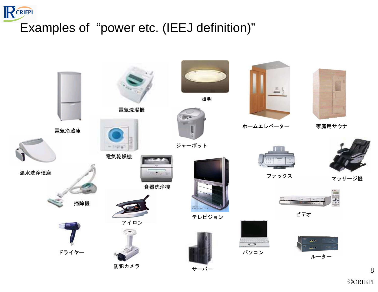#### RCRIEPI Examples of "power etc. (IEEJ definition)"

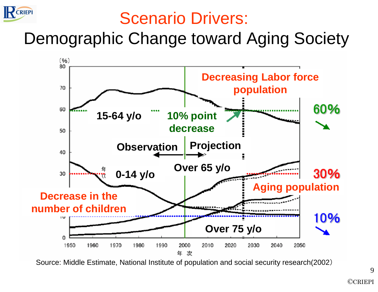

# Scenario Drivers:

Demographic Change toward Aging Society



Source: Middle Estimate, National Institute of population and social security research(2002)

9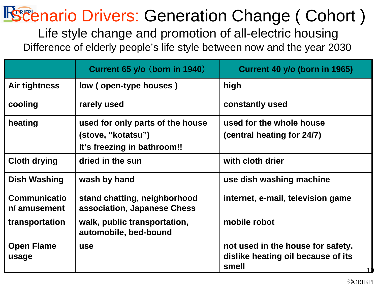# Scenario Drivers: Generation Change ( Cohort )

Life style change and promotion of all-electric housingDifference of elderly people's life style between now and the year 2030

|                                     | Current 65 y/o (born in 1940)                                                         | Current 40 y/o (born in 1965)                                                    |
|-------------------------------------|---------------------------------------------------------------------------------------|----------------------------------------------------------------------------------|
| Air tightness                       | low (open-type houses)                                                                | high                                                                             |
| cooling                             | rarely used                                                                           | constantly used                                                                  |
| heating                             | used for only parts of the house<br>(stove, "kotatsu")<br>It's freezing in bathroom!! | used for the whole house<br>(central heating for 24/7)                           |
| <b>Cloth drying</b>                 | dried in the sun                                                                      | with cloth drier                                                                 |
| <b>Dish Washing</b>                 | wash by hand                                                                          | use dish washing machine                                                         |
| <b>Communicatio</b><br>n/ amusement | stand chatting, neighborhood<br>association, Japanese Chess                           | internet, e-mail, television game                                                |
| transportation                      | walk, public transportation,<br>automobile, bed-bound                                 | mobile robot                                                                     |
| <b>Open Flame</b><br>usage          | <b>use</b>                                                                            | not used in the house for safety.<br>dislike heating oil because of its<br>smell |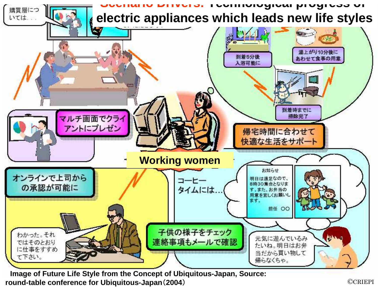

**Image of Future Life Style from the Concept of Ubiquitous-Japan, Source: round-table conference for Ubiquitous-Japan**(**2004**)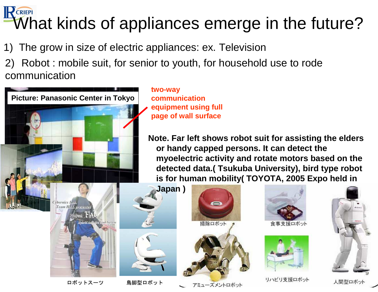#### $\mathsf{P}$  CRIEPI What kinds of appliances emerge in the future?

- The grow in size of electric appliances: ex. Television
- 2) Robot : mobile suit, for senior to youth, for household use to rode communication



**two-way communication equipment using full page of wall surface**

**Note. Far left shows robot suit for assisting the elders or handy capped persons. It can detect the myoelectric activity and rotate motors based on the detected data.( Tsukuba University), bird type robot is for human mobility( TOYOTA, 2005 Expo held in** 

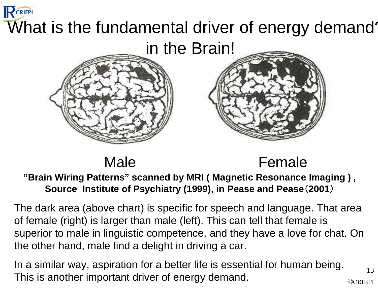# RCRIEPI What is the fundamental driver of energy demand? in the Brain!

#### Male

#### Female

13

#### **"Brain Wiring Patterns" scanned by MRI ( Magnetic Resonance Imaging ) , Source Institute of Psychiatry (1999), in Pease and Pease**(**2001**)

The dark area (above chart) is specific for speech and language. That area of female (right) is larger than male (left). This can tell that female is superior to male in linguistic competence, and they have a love for chat. On the other hand, male find a delight in driving a car.

©CRIEPIIn a similar way, aspiration for a better life is essential for human being. This is another important driver of energy demand.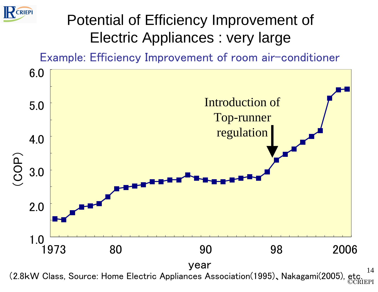

### Potential of Efficiency Improvement of Electric Appliances : very large

Example: Efficiency Improvement of room air-conditioner



14(2.8kW Class, Source: Home Electric Appliances Association(1995)、Nakagami(2005), etc. $\overline{\rm CCRIEPI}$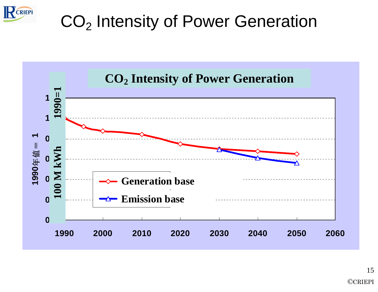

# $\mathsf{CO}_2$  Intensity of Power Generation

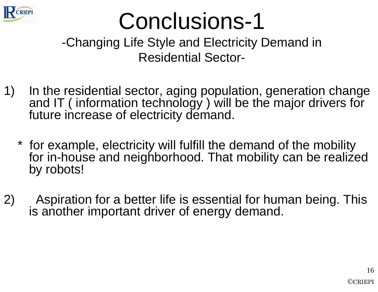

# Conclusions-1

-Changing Life Style and Electricity Demand in Residential Sector-

- 1) In the residential sector, aging population, generation change and IT ( information technology ) will be the major drivers for future increase of electricity demand.
	- \* for example, electricity will fulfill the demand of the mobility for in-house and neighborhood. That mobility can be realized by robots!
- 2) Aspiration for a better life is essential for human being. This is another important driver of energy demand.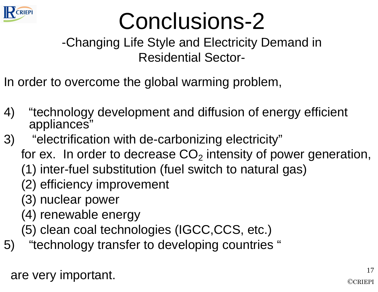

# Conclusions-2

-Changing Life Style and Electricity Demand in Residential Sector-

In order to overcome the global warming problem,

- 4) "technology development and diffusion of energy efficient appliances"
- 3) "electrification with de-carbonizing electricity"
	- for ex. In order to decrease  $\mathsf{CO}_2$  intensity of power generation,
		- (1) inter-fuel substitution (fuel switch to natural gas)
		- (2) efficiency improvement
		- (3) nuclear power
		- (4) renewable energy
		- (5) clean coal technologies (IGCC,CCS, etc.)
- 5) "technology transfer to developing countries "

are very important.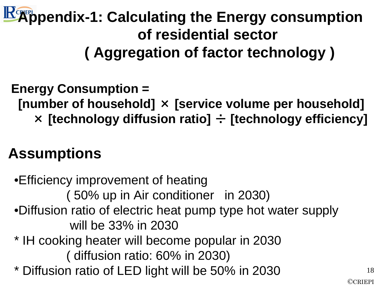# **Appendix-1: Calculating the Energy consumption of residential sector( Aggregation of factor technology )**

## **Energy Consumption = [number of household]** × **[service volume per household]** × **[technology diffusion ratio]** ÷ **[technology efficiency]**

## **Assumptions**

•Efficiency improvement of heating ( 50% up in Air conditioner in 2030)•Diffusion ratio of electric heat pump type hot water supply will be 33% in 2030 \* IH cooking heater will become popular in 2030( diffusion ratio: 60% in 2030) \* Diffusion ratio of LED light will be 50% in 2030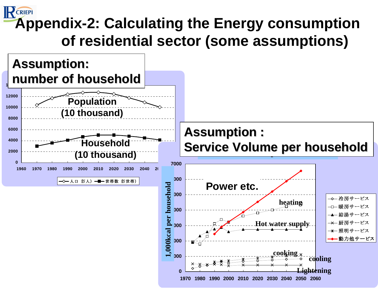#### **CRIEPI Appendix-2: Calculating the Energy consumption of residential sector (some assumptions)**